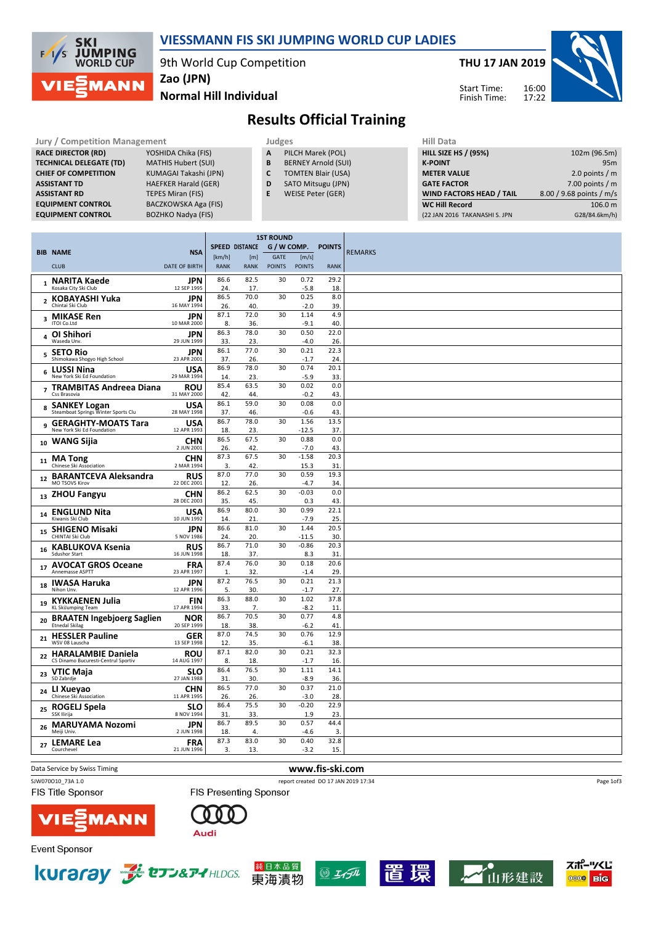

### VIESSMANN FIS SKI JUMPING WORLD CUP LADIES

9th World Cup Competition

THU 17 JAN 2019

Start Time: Finish Time:



Normal Hill Individual Zao (JPN)

## Results Official Training

| <b>Jury / Competition Management</b> |                             |   | <b>Judges</b>              | Hill Data                   |  |
|--------------------------------------|-----------------------------|---|----------------------------|-----------------------------|--|
| <b>RACE DIRECTOR (RD)</b>            | YOSHIDA Chika (FIS)         | A | PILCH Marek (POL)          | <b>HILL SIZE HS / (95%)</b> |  |
| <b>TECHNICAL DELEGATE (TD)</b>       | <b>MATHIS Hubert (SUI)</b>  | В | <b>BERNEY Arnold (SUI)</b> | <b>K-POINT</b>              |  |
| <b>CHIEF OF COMPETITION</b>          | KUMAGAI Takashi (JPN)       |   | <b>TOMTEN Blair (USA)</b>  | <b>METER VALUE</b>          |  |
| <b>ASSISTANT TD</b>                  | <b>HAEFKER Harald (GER)</b> | D | SATO Mitsugu (JPN)         | <b>GATE FACTOR</b>          |  |
| <b>ASSISTANT RD</b>                  | TEPES Miran (FIS)           |   | WEISE Peter (GER)          | <b>WIND FACTORS HEAD</b>    |  |
| <b>EQUIPMENT CONTROL</b>             | BACZKOWSKA Aga (FIS)        |   |                            | <b>WC Hill Record</b>       |  |
| <b>EQUIPMENT CONTROL</b>             | <b>BOZHKO Nadva (FIS)</b>   |   |                            | (22 JAN 2016 TAKANASHI S    |  |

| HIII Data                       |                          |
|---------------------------------|--------------------------|
| <b>HILL SIZE HS / (95%)</b>     | 102m (96.5m)             |
| <b>K-POINT</b>                  | 95 <sub>m</sub>          |
| <b>METER VALUE</b>              | 2.0 points $/m$          |
| <b>GATE FACTOR</b>              | 7.00 points $/m$         |
| <b>WIND FACTORS HEAD / TAIL</b> | 8.00 / 9.68 points / m/s |
| <b>WC Hill Record</b>           | 106.0 m                  |
| (22 JAN 2016 TAKANASHI S. JPN   | G28/84.6km/h)            |

|                |                                                       |                           | <b>1ST ROUND</b>     |                       |               |                |               |                |
|----------------|-------------------------------------------------------|---------------------------|----------------------|-----------------------|---------------|----------------|---------------|----------------|
|                | <b>BIB NAME</b>                                       | <b>NSA</b>                |                      | <b>SPEED DISTANCE</b> | G / W COMP.   |                | <b>POINTS</b> | <b>REMARKS</b> |
|                |                                                       |                           | [km/h]               | [m]                   | GATE          | [m/s]          |               |                |
|                | <b>CLUB</b>                                           | <b>DATE OF BIRTH</b>      | <b>RANK</b>          | <b>RANK</b>           | <b>POINTS</b> | <b>POINTS</b>  | <b>RANK</b>   |                |
|                | 1 NARITA Kaede<br>Kosaka City Ski Club                | JPN<br>12 SEP 1995        | 86.6<br>24.          | 82.5<br>17.           | 30            | 0.72<br>$-5.8$ | 29.2<br>18.   |                |
|                | 2 KOBAYASHI Yuka                                      | <b>JPN</b>                | 86.5                 | 70.0                  | 30            | 0.25           | 8.0           |                |
|                | Chintai Ski Club                                      | 16 MAY 1994               | 26.                  | 40.                   |               | $-2.0$         | 39.           |                |
|                | 3 MIKASE Ren<br><b>ITOI Co.Ltd</b>                    | JPN<br>10 MAR 2000        | 87.1<br>8.           | 72.0<br>36.           | 30            | 1.14<br>$-9.1$ | 4.9<br>40     |                |
|                | 4 OI Shihori<br>Waseda Unv.                           | <b>JPN</b><br>29 JUN 1999 | 86.3<br>33.          | 78.0<br>23.           | 30            | 0.50<br>$-4.0$ | 22.0<br>26.   |                |
|                | 5 SETO Rio<br>Shimokawa Shogyo High School            | JPN<br>23 APR 2001        | 86.1<br>37.          | 77.0<br>26.           | 30            | 0.21<br>$-1.7$ | 22.3<br>24    |                |
|                | <b>LUSSI Nina</b>                                     | <b>USA</b>                | 86.9                 | 78.0                  | 30            | 0.74           | 20.1          |                |
| 6              | New York Ski Ed Foundation                            | 29 MAR 1994               | 14.                  | 23.                   |               | $-5.9$         | 33.           |                |
| $\overline{ }$ | <b>TRAMBITAS Andreea Diana</b><br>Css Brasovia        | <b>ROU</b>                | 85.4                 | 63.5<br>44.           | 30            | 0.02<br>$-0.2$ | 0.0           |                |
|                |                                                       | 31 MAY 2000               | 42.<br>86.1          | 59.0                  | 30            | 0.08           | 43.<br>0.0    |                |
|                | 8 SANKEY Logan<br>Steamboat Springs Winter Sports Clu | <b>USA</b><br>28 MAY 1998 | 37.                  | 46.                   |               | $-0.6$         | 43.           |                |
| 9              | <b>GERAGHTY-MOATS Tara</b>                            | <b>USA</b>                | 86.7                 | 78.0                  | 30            | 1.56           | 13.5          |                |
|                | New York Ski Ed Foundation                            | 12 APR 1993               | 18.                  | 23.                   |               | $-12.5$        | 37.           |                |
| 10             | <b>WANG Sijia</b>                                     | <b>CHN</b><br>2 JUN 2001  | 86.5<br>26.          | 67.5<br>42.           | 30            | 0.88<br>$-7.0$ | 0.0<br>43.    |                |
| 11             | <b>MA Tong</b>                                        | <b>CHN</b>                | 87.3                 | 67.5                  | 30            | $-1.58$        | 20.3          |                |
|                | Chinese Ski Association                               | 2 MAR 1994                | 3.<br>87.0           | 42.<br>77.0           | 30            | 15.3<br>0.59   | 31<br>19.3    |                |
| 12             | <b>BARANTCEVA Aleksandra</b><br><b>MO TSOVS Kirov</b> | <b>RUS</b><br>22 DEC 2001 | 12.                  | 26.                   |               | $-4.7$         | 34.           |                |
|                | 13 ZHOU Fangyu                                        | <b>CHN</b>                | 86.2                 | 62.5                  | 30            | $-0.03$        | 0.0           |                |
|                |                                                       | 28 DEC 2003               | 35.                  | 45.                   |               | 0.3            | 43.           |                |
| 14             | <b>ENGLUND Nita</b><br>Kiwanis Ski Club               | USA<br>10 JUN 1992        | 86.9<br>14.          | 80.0<br>21.           | 30            | 0.99<br>$-7.9$ | 22.1<br>25.   |                |
| 15             | <b>SHIGENO Misaki</b>                                 | JPN                       | 86.6                 | 81.0                  | 30            | 1.44           | 20.5          |                |
|                | CHINTAI Ski Club                                      | 5 NOV 1986                | 24.                  | 20.                   |               | $-11.5$        | 30.           |                |
| 16             | <b>KABLUKOVA Ksenia</b><br>Sdushor Start              | <b>RUS</b><br>16 JUN 1998 | 86.7<br>18.          | 71.0<br>37.           | 30            | $-0.86$<br>8.3 | 20.3<br>31    |                |
|                | 17 AVOCAT GROS Oceane<br>Annemasse ASPTT              | <b>FRA</b><br>23 APR 1997 | 87.4<br>$\mathbf{1}$ | 76.0<br>32.           | 30            | 0.18<br>$-1.4$ | 20.6<br>29    |                |
|                | <b>IWASA Haruka</b>                                   | JPN                       | 87.2                 | 76.5                  | 30            | 0.21           | 21.3          |                |
| 18             | Nihon Unv.                                            | 12 APR 1996               | 5.                   | 30.                   |               | $-1.7$         | 27.           |                |
| 19             | <b>KYKKAENEN Julia</b><br><b>KL SkiJumping Team</b>   | <b>FIN</b><br>17 APR 1994 | 86.3<br>33.          | 88.0<br>7.            | 30            | 1.02<br>$-8.2$ | 37.8<br>11    |                |
| 20             | <b>BRAATEN Ingebjoerg Saglien</b>                     | <b>NOR</b>                | 86.7                 | 70.5                  | 30            | 0.77           | 4.8           |                |
|                | <b>Etnedal Skilag</b>                                 | 20 SEP 1999               | 18.                  | 38.                   |               | $-6.2$         | 41            |                |
| 21             | <b>HESSLER Pauline</b><br>WSV 08 Lauscha              | <b>GER</b><br>13 SEP 1998 | 87.0<br>12.          | 74.5<br>35.           | 30            | 0.76<br>$-6.1$ | 12.9<br>38.   |                |
| 22             | <b>HARALAMBIE Daniela</b>                             | <b>ROU</b>                | 87.1                 | 82.0                  | 30            | 0.21           | 32.3          |                |
|                | CS Dinamo Bucuresti-Centrul Sportiv                   | 14 AUG 1997               | 8.                   | 18.                   |               | $-1.7$         | 16            |                |
| 23             | VTIC Maja<br>SD Zabrdje                               | <b>SLO</b><br>27 JAN 1988 | 86.4<br>31.          | 76.5<br>30.           | 30            | 1.11<br>$-8.9$ | 14.1<br>36.   |                |
|                | LI Xueyao                                             | CHN                       | 86.5                 | 77.0                  | 30            | 0.37           | 21.0          |                |
| 24             | Chinese Ski Association                               | 11 APR 1995               | 26.                  | 26.                   |               | $-3.0$         | 28.           |                |
| 25             | <b>ROGELJ Spela</b><br>SSK Ilirija                    | <b>SLO</b><br>8 NOV 1994  | 86.4<br>31.          | 75.5<br>33.           | 30            | $-0.20$<br>1.9 | 22.9<br>23.   |                |
|                |                                                       | <b>JPN</b>                | 86.7                 | 89.5                  | 30            | 0.57           | 44.4          |                |
| 26             | <b>MARUYAMA Nozomi</b><br>Meiji Univ.                 | 2 JUN 1998                | 18.                  | $\overline{4}$        |               | $-4.6$         | 3.            |                |
| 27             | <b>LEMARE Lea</b>                                     | <b>FRA</b>                | 87.3                 | 83.0                  | 30            | 0.40           | 32.8          |                |
|                | Courchevel                                            | 21 JUN 1996               | 3.                   | 13.                   |               | $-3.2$         | 15.           |                |

Data Service by Swiss Timing **WWW.fis-ski.com** 

FIS Title Sponsor

SJW070O10\_73A 1.0 report created DO 17 JAN 2019 17:34

Page 1of3



FIS Presenting Sponsor

Event Sponsor



**MANN** 







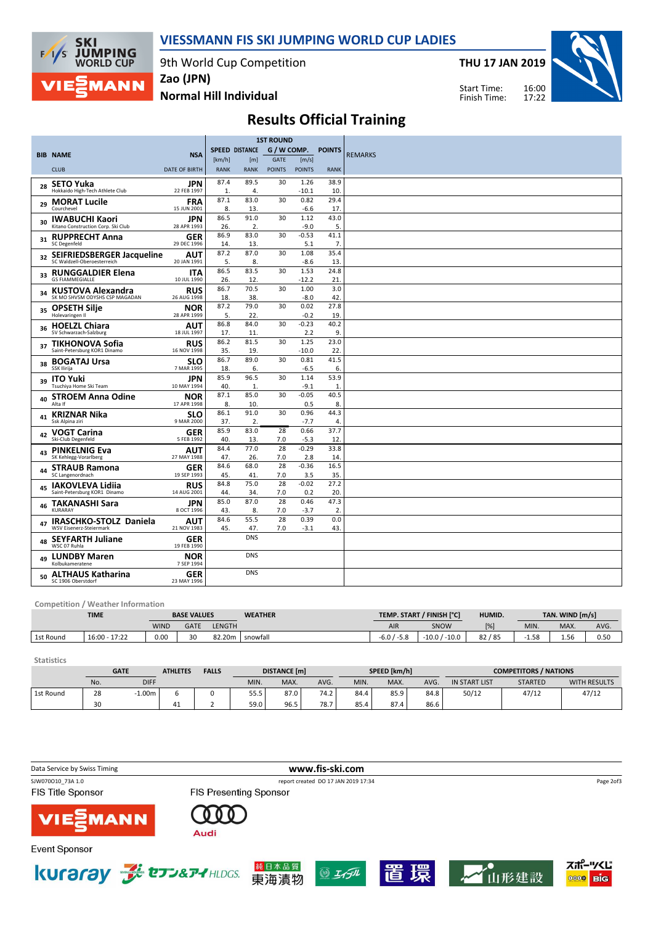

### VIESSMANN FIS SKI JUMPING WORLD CUP LADIES

9th World Cup Competition

THU 17 JAN 2019



Normal Hill Individual

Zao (JPN)

16:00 17:22 Start Time: Finish Time:

# Results Official Training

|    |                                                             |                           | <b>1ST ROUND</b> |                       |               |                |               |                |
|----|-------------------------------------------------------------|---------------------------|------------------|-----------------------|---------------|----------------|---------------|----------------|
|    |                                                             |                           |                  | <b>SPEED DISTANCE</b> | G / W COMP.   |                | <b>POINTS</b> |                |
|    | <b>BIB NAME</b>                                             | <b>NSA</b>                | [km/h]           | [m]                   | <b>GATE</b>   | [m/s]          |               | <b>REMARKS</b> |
|    | <b>CLUB</b>                                                 | <b>DATE OF BIRTH</b>      | <b>RANK</b>      | <b>RANK</b>           | <b>POINTS</b> | <b>POINTS</b>  | <b>RANK</b>   |                |
| 28 | <b>SETO Yuka</b>                                            | JPN                       | 87.4             | 89.5                  | 30            | 1.26           | 38.9          |                |
|    | Hokkaido High-Tech Athlete Club                             | 22 FEB 1997               | 1.               | 4.                    |               | $-10.1$        | 10.           |                |
| 29 | <b>MORAT Lucile</b>                                         | <b>FRA</b>                | 87.1             | 83.0                  | 30            | 0.82           | 29.4          |                |
|    | Courchevel                                                  | 15 JUN 2001               | 8.               | 13.                   |               | $-6.6$         | 17.           |                |
| 30 | <b>IWABUCHI Kaori</b><br>Kitano Construction Corp. Ski Club | <b>JPN</b><br>28 APR 1993 | 86.5<br>26.      | 91.0<br>2.            | 30            | 1.12<br>$-9.0$ | 43.0<br>5.    |                |
|    | 31 RUPPRECHT Anna<br><b>SC Degenfeld</b>                    | <b>GER</b><br>29 DEC 1996 | 86.9             | 83.0                  | 30            | $-0.53$        | 41.1          |                |
|    |                                                             |                           | 14.<br>87.2      | 13.<br>87.0           |               | 5.1            | 7.<br>35.4    |                |
| 32 | SEIFRIEDSBERGER Jacqueline<br>SC Waldzell-Oberoesterreich   | AUT<br>20 JAN 1991        | 5.               | 8.                    | 30            | 1.08<br>$-8.6$ | 13            |                |
| 33 | <b>RUNGGALDIER Elena</b>                                    | <b>ITA</b>                | 86.5             | 83.5                  | 30            | 1.53           | 24.8          |                |
|    | <b>GS FIAMMEGIALLE</b>                                      | 10 JUL 1990               | 26.              | 12.                   |               | $-12.2$        | 21            |                |
| 34 | <b>KUSTOVA Alexandra</b>                                    | <b>RUS</b>                | 86.7             | 70.5                  | 30            | 1.00           | 3.0           |                |
|    | SK MO SHVSM ODYSHS CSP MAGADAN                              | 26 AUG 1998               | 18.              | 38.                   |               | $-8.0$         | 42.           |                |
| 35 | <b>OPSETH Silje</b>                                         | NOR                       | 87.2             | 79.0                  | 30            | 0.02           | 27.8          |                |
|    | Holevaringen II                                             | 28 APR 1999               | 5.               | 22.                   |               | $-0.2$         | 19            |                |
| 36 | <b>HOELZL Chiara</b>                                        | <b>AUT</b>                | 86.8             | 84.0                  | 30            | $-0.23$        | 40.2          |                |
|    | SV Schwarzach-Salzburg                                      | 18 JUL 1997               | 17.              | 11.                   |               | 2.2            | 9.            |                |
| 37 | <b>TIKHONOVA Sofia</b><br>Saint-Petersburg KOR1 Dinamo      | RUS                       | 86.2             | 81.5                  | 30            | 1.25           | 23.0          |                |
|    |                                                             | 16 NOV 1998               | 35.<br>86.7      | 19.<br>89.0           | 30            | $-10.0$        | 22.<br>41.5   |                |
| 38 | <b>BOGATAJ Ursa</b><br>SSK Ilirija                          | SLO<br>7 MAR 1995         | 18.              | 6.                    |               | 0.81<br>$-6.5$ | 6.            |                |
|    |                                                             |                           | 85.9             | 96.5                  | 30            | 1.14           | 53.9          |                |
| 39 | <b>ITO Yuki</b><br>Tsuchiya Home Ski Team                   | JPN<br>10 MAY 1994        | 40.              | 1.                    |               | $-9.1$         | 1.            |                |
|    |                                                             | NOR                       | 87.1             | 85.0                  | 30            | $-0.05$        | 40.5          |                |
| 40 | <b>STROEM Anna Odine</b><br>Alta If                         | 17 APR 1998               | 8.               | 10.                   |               | 0.5            | 8.            |                |
|    | 41 KRIZNAR Nika                                             | <b>SLO</b>                | 86.1             | 91.0                  | 30            | 0.96           | 44.3          |                |
|    | Ssk Alpina ziri                                             | 9 MAR 2000                | 37.              | 2.                    |               | $-7.7$         | 4.            |                |
|    | <b>VOGT Carina</b>                                          | <b>GER</b>                | 85.9             | 83.0                  | 28            | 0.66           | 37.7          |                |
| 42 | Ski-Club Degenfeld                                          | 5 FEB 1992                | 40.              | 13.                   | 7.0           | $-5.3$         | 12.           |                |
|    | 43 PINKELNIG Eva                                            | <b>AUT</b>                | 84.4             | 77.0                  | 28            | $-0.29$        | 33.8          |                |
|    | SK Kehlegg-Vorarlberg                                       | 27 MAY 1988               | 47.              | 26.                   | 7.0           | 2.8            | 14.           |                |
| 44 | <b>STRAUB Ramona</b>                                        | <b>GER</b>                | 84.6             | 68.0                  | 28            | $-0.36$        | 16.5          |                |
|    | SC Langenordnach                                            | 19 SEP 1993               | 45.              | 41.                   | 7.0           | 3.5            | 35.           |                |
| 45 | <b>IAKOVLEVA Lidija</b>                                     | <b>RUS</b>                | 84.8             | 75.0                  | 28            | $-0.02$        | 27.2          |                |
|    | Saint-Petersburg KOR1 Dinamo                                | 14 AUG 2001               | 44.              | 34.                   | 7.0           | 0.2            | 20.           |                |
| 46 | <b>TAKANASHI Sara</b><br>KURARAY                            | <b>JPN</b>                | 85.0             | 87.0                  | 28            | 0.46           | 47.3          |                |
|    |                                                             | 8 OCT 1996                | 43.<br>84.6      | 8.<br>55.5            | 7.0<br>28     | $-3.7$<br>0.39 | 2.<br>0.0     |                |
|    | IRASCHKO-STOLZ Daniela<br>WSV Eisenerz-Steiermark           | <b>AUT</b><br>21 NOV 1983 | 45.              | 47.                   | 7.0           | $-3.1$         | 43.           |                |
| 48 | <b>SEYFARTH Juliane</b><br>WSC 07 Ruhla                     | <b>GER</b><br>19 FEB 1990 |                  | <b>DNS</b>            |               |                |               |                |
| 49 | <b>LUNDBY Maren</b><br>Kolbukameratene                      | NOR<br>7 SEP 1994         |                  | <b>DNS</b>            |               |                |               |                |
| 50 | <b>ALTHAUS Katharina</b><br>SC 1906 Oberstdorf              | <b>GER</b><br>23 MAY 1996 |                  | <b>DNS</b>            |               |                |               |                |

#### Competition / Weather Information

|           | <b>TIME</b><br><b>BASE VALUES</b> |             | <b>WEATHER</b> |        | TEMP. START / FINISH [°C] | HUMID.           |                 | TAN. WIND [m/s] |      |      |      |
|-----------|-----------------------------------|-------------|----------------|--------|---------------------------|------------------|-----------------|-----------------|------|------|------|
|           |                                   | <b>WIND</b> | <b>GATE</b>    | LENGTH |                           | AIR              | SNOW            | [%]             | MIN. | MAX. | AVG. |
| 1st Round | $16:00 -$<br>17:22                | 0.00        | 30             | 82.20m | snowfall                  | $-5.8$<br>$-6.0$ | $-10.0 / -10.0$ | 82/85           | 1.58 | 1.56 | 0.5C |

| <b>Statistics</b> |     |             |                 |              |                     |      |      |              |      |                              |                      |                |                     |
|-------------------|-----|-------------|-----------------|--------------|---------------------|------|------|--------------|------|------------------------------|----------------------|----------------|---------------------|
|                   |     | <b>GATE</b> | <b>ATHLETES</b> | <b>FALLS</b> | <b>DISTANCE</b> [m] |      |      | SPEED [km/h] |      | <b>COMPETITORS / NATIONS</b> |                      |                |                     |
|                   | No. | <b>DIFF</b> |                 |              | MIN.                | MAX. | AVG. | MIN.         | MAX. | AVG.                         | <b>IN START LIST</b> | <b>STARTED</b> | <b>WITH RESULTS</b> |
| 1st Round         | 28  | $-1.00m$    | b               |              | 55.5                | 87.0 | 74.2 | 84.4         | 85.9 | 84.8                         | 50/12                | 47/12          | 47/12               |
|                   | 30  |             | 41              |              | 59.0                | 96.5 | 78.7 | 85.4         | 87.4 | 86.6                         |                      |                |                     |